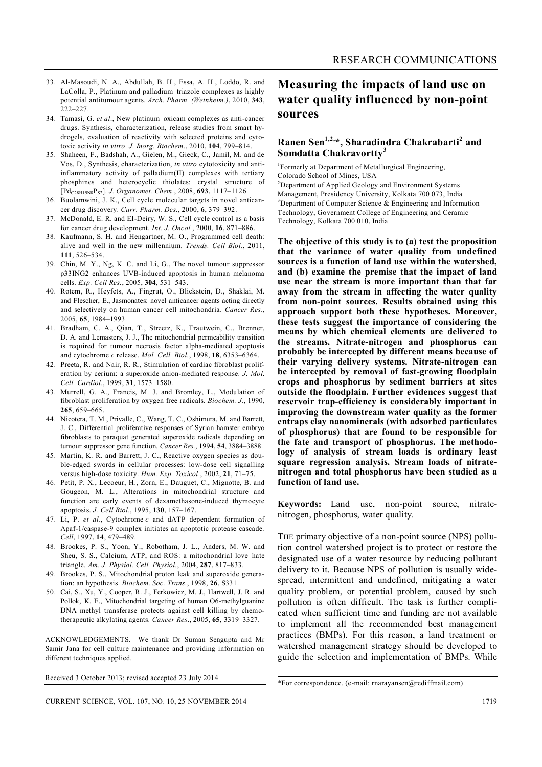- 33. Al-Masoudi, N. A., Abdullah, B. H., Essa, A. H., Loddo, R. and LaColla, P., Platinum and palladium–triazole complexes as highly potential antitumour agents. *Arch. Pharm. (Weinheim.)*, 2010, **343**, 222–227.
- 34. Tamasi, G. *et al*., New platinum–oxicam complexes as anti-cancer drugs. Synthesis, characterization, release studies from smart hydrogels, evaluation of reactivity with selected proteins and cytotoxic activity *in vitro*. *J. Inorg. Biochem*., 2010, **104**, 799–814.
- 35. Shaheen, F., Badshah, A., Gielen, M., Gieck, C., Jamil, M. and de Vos, D., Synthesis, characterization, *in vitro* cytotoxicity and antiinflammatory activity of palladium(II) complexes with tertiary phosphines and heterocyclic thiolates: crystal structure of [PdC28H19N8PS2]. *J. Organomet. Chem*., 2008, **693**, 1117–1126.
- 36. Buolamwini, J. K., Cell cycle molecular targets in novel anticancer drug discovery. *Curr. Pharm. Des.*, 2000, **6**, 379–392.
- 37. McDonald, E. R. and EI-Deiry, W. S., Cell cycle control as a basis for cancer drug development. *Int. J. Oncol.*, 2000, **16**, 871–886.
- 38. Kaufmann, S. H. and Hengartner, M. O., Programmed cell death: alive and well in the new millennium. *Trends. Cell Biol.*, 2011, **111**, 526–534.
- 39. Chin, M. Y., Ng, K. C. and Li, G., The novel tumour suppressor p33ING2 enhances UVB-induced apoptosis in human melanoma cells. *Exp. Cell Res.*, 2005, **304**, 531–543.
- 40. Rotem, R., Heyfets, A., Fingrut, O., Blickstein, D., Shaklai, M. and Flescher, E., Jasmonates: novel anticancer agents acting directly and selectively on human cancer cell mitochondria. *Cancer Res*., 2005, **65**, 1984–1993.
- 41. Bradham, C. A., Qian, T., Streetz, K., Trautwein, C., Brenner, D. A. and Lemasters, J. J., The mitochondrial permeability transition is required for tumour necrosis factor alpha-mediated apoptosis and cytochrome *c* release. *Mol. Cell. Biol.*, 1998, **18**, 6353–6364.
- 42. Preeta, R. and Nair, R. R., Stimulation of cardiac fibroblast proliferation by cerium: a superoxide anion-mediated response. *J. Mol. Cell. Cardiol.*, 1999, **31**, 1573–1580.
- 43. Murrell, G. A., Francis, M. J. and Bromley, L., Modulation of fibroblast proliferation by oxygen free radicals. *Biochem. J.*, 1990, **265**, 659–665.
- 44. Nicotera, T. M., Privalle, C., Wang, T. C., Oshimura, M. and Barrett, J. C., Differential proliferative responses of Syrian hamster embryo fibroblasts to paraquat generated superoxide radicals depending on tumour suppressor gene function. *Cancer Res.*, 1994, **54**, 3884–3888.
- 45. Martin, K. R. and Barrett, J. C., Reactive oxygen species as double-edged swords in cellular processes: low-dose cell signalling versus high-dose toxicity. *Hum. Exp. Toxicol*., 2002, **21**, 71–75.
- 46. Petit, P. X., Lecoeur, H., Zorn, E., Dauguet, C., Mignotte, B. and Gougeon, M. L., Alterations in mitochondrial structure and function are early events of dexamethasone-induced thymocyte apoptosis. *J. Cell Biol.*, 1995, **130**, 157–167.
- 47. Li, P. *et al*., Cytochrome *c* and dATP dependent formation of Apaf-1/caspase-9 complex initiates an apoptotic protease cascade. *Cell*, 1997, **14**, 479–489.
- 48. Brookes, P. S., Yoon, Y., Robotham, J. L., Anders, M. W. and Sheu, S. S., Calcium, ATP, and ROS: a mitochondrial love–hate triangle. *Am. J. Physiol. Cell. Physiol.*, 2004, **287**, 817–833.
- 49. Brookes, P. S., Mitochondrial proton leak and superoxide generation: an hypothesis. *Biochem. Soc. Trans.*, 1998, **26**, S331.
- 50. Cai, S., Xu, Y., Cooper, R. J., Ferkowicz, M. J., Hartwell, J. R. and Pollok, K. E., Mitochondrial targeting of human O6-methylguanine DNA methyl transferase protects against cell killing by chemotherapeutic alkylating agents. *Cancer Res*., 2005, **65**, 3319–3327.

ACKNOWLEDGEMENTS. We thank Dr Suman Sengupta and Mr Samir Jana for cell culture maintenance and providing information on different techniques applied.

Received 3 October 2013; revised accepted 23 July 2014

#### CURRENT SCIENCE, VOL. 107, NO. 10, 25 NOVEMBER 2014 1719

## **Measuring the impacts of land use on water quality influenced by non-point sources**

### **Ranen Sen1,2,\*, Sharadindra Chakrabarti<sup>2</sup> and Somdatta Chakravortty<sup>3</sup>**

1 Formerly at Department of Metallurgical Engineering, Colorado School of Mines, USA

 $2$ Department of Applied Geology and Environment Systems Management, Presidency University, Kolkata 700 073, India  $3$ Department of Computer Science & Engineering and Information Technology, Government College of Engineering and Ceramic Technology, Kolkata 700 010, India

**The objective of this study is to (a) test the proposition that the variance of water quality from undefined sources is a function of land use within the watershed, and (b) examine the premise that the impact of land use near the stream is more important than that far away from the stream in affecting the water quality from non-point sources. Results obtained using this approach support both these hypotheses. Moreover, these tests suggest the importance of considering the means by which chemical elements are delivered to the streams. Nitrate-nitrogen and phosphorus can probably be intercepted by different means because of their varying delivery systems. Nitrate-nitrogen can be intercepted by removal of fast-growing floodplain crops and phosphorus by sediment barriers at sites outside the floodplain. Further evidences suggest that reservoir trap-efficiency is considerably important in improving the downstream water quality as the former entraps clay nanominerals (with adsorbed particulates of phosphorus) that are found to be responsible for the fate and transport of phosphorus. The methodology of analysis of stream loads is ordinary least square regression analysis. Stream loads of nitratenitrogen and total phosphorus have been studied as a function of land use.**

**Keywords:** Land use, non-point source, nitratenitrogen, phosphorus, water quality.

THE primary objective of a non-point source (NPS) pollution control watershed project is to protect or restore the designated use of a water resource by reducing pollutant delivery to it. Because NPS of pollution is usually widespread, intermittent and undefined, mitigating a water quality problem, or potential problem, caused by such pollution is often difficult. The task is further complicated when sufficient time and funding are not available to implement all the recommended best management practices (BMPs). For this reason, a land treatment or watershed management strategy should be developed to guide the selection and implementation of BMPs. While

<sup>\*</sup>For correspondence. (e-mail: rnarayansen@rediffmail.com)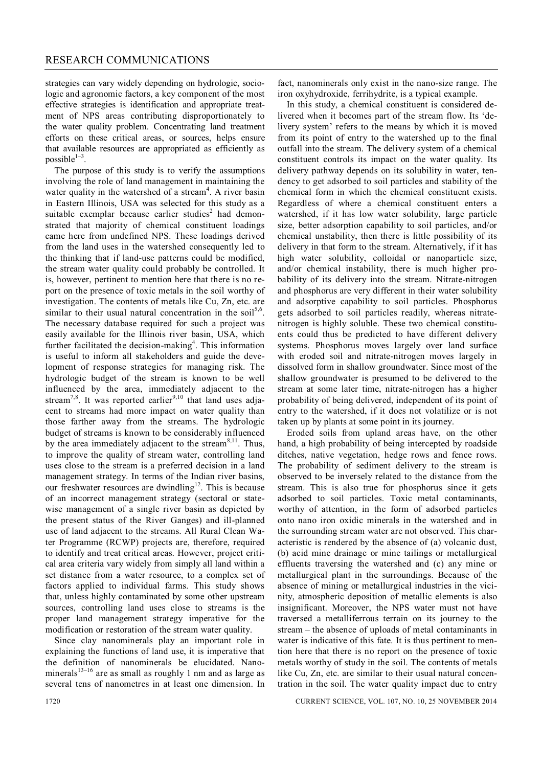strategies can vary widely depending on hydrologic, sociologic and agronomic factors, a key component of the most effective strategies is identification and appropriate treatment of NPS areas contributing disproportionately to the water quality problem. Concentrating land treatment efforts on these critical areas, or sources, helps ensure that available resources are appropriated as efficiently as  $possible^{1-3}$ .

The purpose of this study is to verify the assumptions involving the role of land management in maintaining the water quality in the watershed of a stream<sup>4</sup>. A river basin in Eastern Illinois, USA was selected for this study as a suitable exemplar because earlier studies<sup>2</sup> had demonstrated that majority of chemical constituent loadings came here from undefined NPS. These loadings derived from the land uses in the watershed consequently led to the thinking that if land-use patterns could be modified, the stream water quality could probably be controlled. It is, however, pertinent to mention here that there is no report on the presence of toxic metals in the soil worthy of investigation. The contents of metals like Cu, Zn, etc. are similar to their usual natural concentration in the soil<sup>5,6</sup>. The necessary database required for such a project was easily available for the Illinois river basin, USA, which further facilitated the decision-making<sup>4</sup>. This information is useful to inform all stakeholders and guide the development of response strategies for managing risk. The hydrologic budget of the stream is known to be well influenced by the area, immediately adjacent to the stream<sup>7,8</sup>. It was reported earlier<sup>9,10</sup> that land uses adjacent to streams had more impact on water quality than those farther away from the streams. The hydrologic budget of streams is known to be considerably influenced by the area immediately adjacent to the stream $8,11$ . Thus, to improve the quality of stream water, controlling land uses close to the stream is a preferred decision in a land management strategy. In terms of the Indian river basins, our freshwater resources are dwindling<sup>12</sup>. This is because of an incorrect management strategy (sectoral or statewise management of a single river basin as depicted by the present status of the River Ganges) and ill-planned use of land adjacent to the streams. All Rural Clean Water Programme (RCWP) projects are, therefore, required to identify and treat critical areas. However, project critical area criteria vary widely from simply all land within a set distance from a water resource, to a complex set of factors applied to individual farms. This study shows that, unless highly contaminated by some other upstream sources, controlling land uses close to streams is the proper land management strategy imperative for the modification or restoration of the stream water quality.

Since clay nanominerals play an important role in explaining the functions of land use, it is imperative that the definition of nanominerals be elucidated. Nanominerals<sup>13-16</sup> are as small as roughly 1 nm and as large as several tens of nanometres in at least one dimension. In

fact, nanominerals only exist in the nano-size range. The iron oxyhydroxide, ferrihydrite, is a typical example.

In this study, a chemical constituent is considered delivered when it becomes part of the stream flow. Its 'delivery system' refers to the means by which it is moved from its point of entry to the watershed up to the final outfall into the stream. The delivery system of a chemical constituent controls its impact on the water quality. Its delivery pathway depends on its solubility in water, tendency to get adsorbed to soil particles and stability of the chemical form in which the chemical constituent exists. Regardless of where a chemical constituent enters a watershed, if it has low water solubility, large particle size, better adsorption capability to soil particles, and/or chemical unstability, then there is little possibility of its delivery in that form to the stream. Alternatively, if it has high water solubility, colloidal or nanoparticle size, and/or chemical instability, there is much higher probability of its delivery into the stream. Nitrate-nitrogen and phosphorus are very different in their water solubility and adsorptive capability to soil particles. Phosphorus gets adsorbed to soil particles readily, whereas nitratenitrogen is highly soluble. These two chemical constituents could thus be predicted to have different delivery systems. Phosphorus moves largely over land surface with eroded soil and nitrate-nitrogen moves largely in dissolved form in shallow groundwater. Since most of the shallow groundwater is presumed to be delivered to the stream at some later time, nitrate-nitrogen has a higher probability of being delivered, independent of its point of entry to the watershed, if it does not volatilize or is not taken up by plants at some point in its journey.

Eroded soils from upland areas have, on the other hand, a high probability of being intercepted by roadside ditches, native vegetation, hedge rows and fence rows. The probability of sediment delivery to the stream is observed to be inversely related to the distance from the stream. This is also true for phosphorus since it gets adsorbed to soil particles. Toxic metal contaminants, worthy of attention, in the form of adsorbed particles onto nano iron oxidic minerals in the watershed and in the surrounding stream water are not observed. This characteristic is rendered by the absence of (a) volcanic dust, (b) acid mine drainage or mine tailings or metallurgical effluents traversing the watershed and (c) any mine or metallurgical plant in the surroundings. Because of the absence of mining or metallurgical industries in the vicinity, atmospheric deposition of metallic elements is also insignificant. Moreover, the NPS water must not have traversed a metalliferrous terrain on its journey to the stream – the absence of uploads of metal contaminants in water is indicative of this fate. It is thus pertinent to mention here that there is no report on the presence of toxic metals worthy of study in the soil. The contents of metals like Cu, Zn, etc. are similar to their usual natural concentration in the soil. The water quality impact due to entry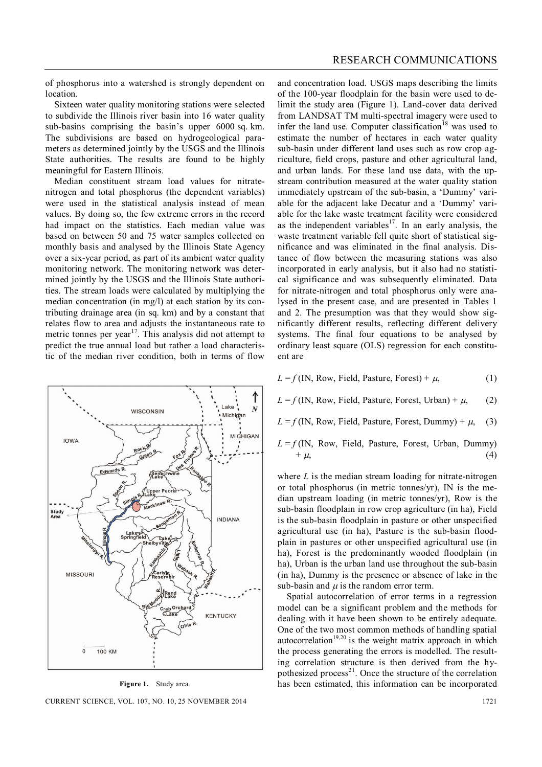of phosphorus into a watershed is strongly dependent on location.

Sixteen water quality monitoring stations were selected to subdivide the Illinois river basin into 16 water quality sub-basins comprising the basin's upper 6000 sq. km. The subdivisions are based on hydrogeological parameters as determined jointly by the USGS and the Illinois State authorities. The results are found to be highly meaningful for Eastern Illinois.

Median constituent stream load values for nitratenitrogen and total phosphorus (the dependent variables) were used in the statistical analysis instead of mean values. By doing so, the few extreme errors in the record had impact on the statistics. Each median value was based on between 50 and 75 water samples collected on monthly basis and analysed by the Illinois State Agency over a six-year period, as part of its ambient water quality monitoring network. The monitoring network was determined jointly by the USGS and the Illinois State authorities. The stream loads were calculated by multiplying the median concentration (in mg/l) at each station by its contributing drainage area (in sq. km) and by a constant that relates flow to area and adjusts the instantaneous rate to metric tonnes per year<sup>17</sup>. This analysis did not attempt to predict the true annual load but rather a load characteristic of the median river condition, both in terms of flow



**Figure 1.** Study area.

and concentration load. USGS maps describing the limits of the 100-year floodplain for the basin were used to delimit the study area (Figure 1). Land-cover data derived from LANDSAT TM multi-spectral imagery were used to infer the land use. Computer classification<sup>18</sup> was used to estimate the number of hectares in each water quality sub-basin under different land uses such as row crop agriculture, field crops, pasture and other agricultural land, and urban lands. For these land use data, with the upstream contribution measured at the water quality station immediately upstream of the sub-basin, a 'Dummy' variable for the adjacent lake Decatur and a 'Dummy' variable for the lake waste treatment facility were considered as the independent variables<sup>17</sup>. In an early analysis, the waste treatment variable fell quite short of statistical significance and was eliminated in the final analysis. Distance of flow between the measuring stations was also incorporated in early analysis, but it also had no statistical significance and was subsequently eliminated. Data for nitrate-nitrogen and total phosphorus only were analysed in the present case, and are presented in Tables 1 and 2. The presumption was that they would show significantly different results, reflecting different delivery systems. The final four equations to be analysed by ordinary least square (OLS) regression for each constituent are

 $L = f$  (IN, Row, Field, Pasture, Forest) +  $\mu$ , (1)

 $L = f$  (IN, Row, Field, Pasture, Forest, Urban) +  $\mu$ , (2)

 $L = f$  (IN, Row, Field, Pasture, Forest, Dummy) +  $\mu$ , (3)

 $L = f$ (IN, Row, Field, Pasture, Forest, Urban, Dummy)  $+ \mu,$  (4)

where *L* is the median stream loading for nitrate-nitrogen or total phosphorus (in metric tonnes/yr), IN is the median upstream loading (in metric tonnes/yr), Row is the sub-basin floodplain in row crop agriculture (in ha), Field is the sub-basin floodplain in pasture or other unspecified agricultural use (in ha), Pasture is the sub-basin floodplain in pastures or other unspecified agricultural use (in ha), Forest is the predominantly wooded floodplain (in ha), Urban is the urban land use throughout the sub-basin (in ha), Dummy is the presence or absence of lake in the sub-basin and  $\mu$  is the random error term.

Spatial autocorrelation of error terms in a regression model can be a significant problem and the methods for dealing with it have been shown to be entirely adequate. One of the two most common methods of handling spatial autocorrelation<sup>19,20</sup> is the weight matrix approach in which the process generating the errors is modelled. The resulting correlation structure is then derived from the hypothesized process<sup>21</sup>. Once the structure of the correlation has been estimated, this information can be incorporated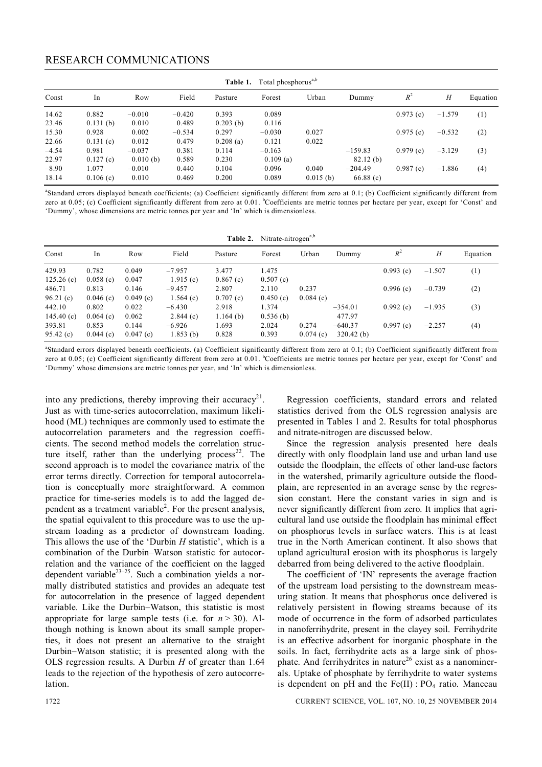## RESEARCH COMMUNICATIONS

| Table 1. Total phosphorus <sup>a,b</sup> |          |          |          |             |             |             |           |          |          |          |  |
|------------------------------------------|----------|----------|----------|-------------|-------------|-------------|-----------|----------|----------|----------|--|
| Const                                    | In       | Row      | Field    | Pasture     | Forest      | Urban       | Dummy     | $R^2$    | H        | Equation |  |
| 14.62                                    | 0.882    | $-0.010$ | $-0.420$ | 0.393       | 0.089       |             |           | 0.973(c) | $-1.579$ | (1)      |  |
| 23.46                                    | 0.131(b) | 0.010    | 0.489    | $0.203$ (b) | 0.116       |             |           |          |          |          |  |
| 15.30                                    | 0.928    | 0.002    | $-0.534$ | 0.297       | $-0.030$    | 0.027       |           | 0.975(c) | $-0.532$ | (2)      |  |
| 22.66                                    | 0.131(c) | 0.012    | 0.479    | 0.208(a)    | 0.121       | 0.022       |           |          |          |          |  |
| $-4.54$                                  | 0.981    | $-0.037$ | 0.381    | 0.114       | $-0.163$    |             | $-159.83$ | 0.979(c) | $-3.129$ | (3)      |  |
| 22.97                                    | 0.127(c) | 0.010(b) | 0.589    | 0.230       | $0.109$ (a) |             | 82.12(b)  |          |          |          |  |
| $-8.90$                                  | 1.077    | $-0.010$ | 0.440    | $-0.104$    | $-0.096$    | 0.040       | $-204.49$ | 0.987(c) | $-1.886$ | (4)      |  |
| 18.14                                    | 0.106(c) | 0.010    | 0.469    | 0.200       | 0.089       | $0.015$ (b) | 66.88(c)  |          |          |          |  |

<sup>&</sup>lt;sup>a</sup>Standard errors displayed beneath coefficients; (a) Coefficient significantly different from zero at 0.1; (b) Coefficient significantly different from zero at 0.05; (c) Coefficient significantly different from zero at 0.01. <sup>b</sup>Coefficients are metric tonnes per hectare per year, except for 'Const' and 'Dummy', whose dimensions are metric tonnes per year and 'In' which is dimensionless.

| Table 2. Nitrate-nitrogen <sup>a,b</sup> |                   |                   |                      |                      |                   |          |                     |          |          |          |
|------------------------------------------|-------------------|-------------------|----------------------|----------------------|-------------------|----------|---------------------|----------|----------|----------|
| Const                                    | In                | Row               | Field                | Pasture              | Forest            | Urban    | Dummy               | $R^2$    | Н        | Equation |
| 429.93<br>125.26(c)                      | 0.782<br>0.058(c) | 0.049<br>0.047    | $-7.957$<br>1.915(c) | 3.477<br>0.867(c)    | 1.475<br>0.507(c) |          |                     | 0.993(c) | $-1.507$ | (1)      |
| 486.71                                   | 0.813             | 0.146             | $-9.457$             | 2.807                | 2.110             | 0.237    |                     | 0.996(c) | $-0.739$ | (2)      |
| 96.21(c)<br>442.10                       | 0.046(c)<br>0.802 | 0.049(c)<br>0.022 | 1.564(c)<br>$-6.430$ | 0.707(c)<br>2.918    | 0.450(c)<br>1.374 | 0.084(c) | $-354.01$           | 0.992(c) | $-1.935$ | (3)      |
| 145.40(c)<br>393.81                      | 0.064(c)<br>0.853 | 0.062<br>0.144    | 2.844(c)<br>$-6.926$ | $1.164$ (b)<br>1.693 | 0.536(b)<br>2.024 | 0.274    | 477.97<br>$-640.37$ | 0.997(c) | $-2.257$ | (4)      |
| 95.42(c)                                 | 0.044(c)          | 0.047(c)          | 1.853(b)             | 0.828                | 0.393             | 0.074(c) | $320.42$ (b)        |          |          |          |

a Standard errors displayed beneath coefficients. (a) Coefficient significantly different from zero at 0.1; (b) Coefficient significantly different from zero at 0.05; (c) Coefficient significantly different from zero at 0.01. <sup>b</sup>Coefficients are metric tonnes per hectare per year, except for 'Const' and 'Dummy' whose dimensions are metric tonnes per year, and 'In' which is dimensionless.

into any predictions, thereby improving their accuracy<sup>21</sup>. Just as with time-series autocorrelation, maximum likelihood (ML) techniques are commonly used to estimate the autocorrelation parameters and the regression coefficients. The second method models the correlation structure itself, rather than the underlying process<sup>22</sup>. The second approach is to model the covariance matrix of the error terms directly. Correction for temporal autocorrelation is conceptually more straightforward. A common practice for time-series models is to add the lagged dependent as a treatment variable<sup>2</sup>. For the present analysis, the spatial equivalent to this procedure was to use the upstream loading as a predictor of downstream loading. This allows the use of the 'Durbin *H* statistic', which is a combination of the Durbin–Watson statistic for autocorrelation and the variance of the coefficient on the lagged dependent variable $^{23-25}$ . Such a combination yields a normally distributed statistics and provides an adequate test for autocorrelation in the presence of lagged dependent variable. Like the Durbin–Watson, this statistic is most appropriate for large sample tests (i.e. for  $n > 30$ ). Although nothing is known about its small sample properties, it does not present an alternative to the straight Durbin–Watson statistic; it is presented along with the OLS regression results. A Durbin *H* of greater than 1.64 leads to the rejection of the hypothesis of zero autocorrelation.

Regression coefficients, standard errors and related statistics derived from the OLS regression analysis are presented in Tables 1 and 2. Results for total phosphorus and nitrate-nitrogen are discussed below.

Since the regression analysis presented here deals directly with only floodplain land use and urban land use outside the floodplain, the effects of other land-use factors in the watershed, primarily agriculture outside the floodplain, are represented in an average sense by the regression constant. Here the constant varies in sign and is never significantly different from zero. It implies that agricultural land use outside the floodplain has minimal effect on phosphorus levels in surface waters. This is at least true in the North American continent. It also shows that upland agricultural erosion with its phosphorus is largely debarred from being delivered to the active floodplain.

The coefficient of 'IN' represents the average fraction of the upstream load persisting to the downstream measuring station. It means that phosphorus once delivered is relatively persistent in flowing streams because of its mode of occurrence in the form of adsorbed particulates in nanoferrihydrite, present in the clayey soil. Ferrihydrite is an effective adsorbent for inorganic phosphate in the soils. In fact, ferrihydrite acts as a large sink of phosphate. And ferrihydrites in nature<sup>26</sup> exist as a nanominerals. Uptake of phosphate by ferrihydrite to water systems is dependent on pH and the  $Fe(II)$ :  $PO<sub>4</sub>$  ratio. Manceau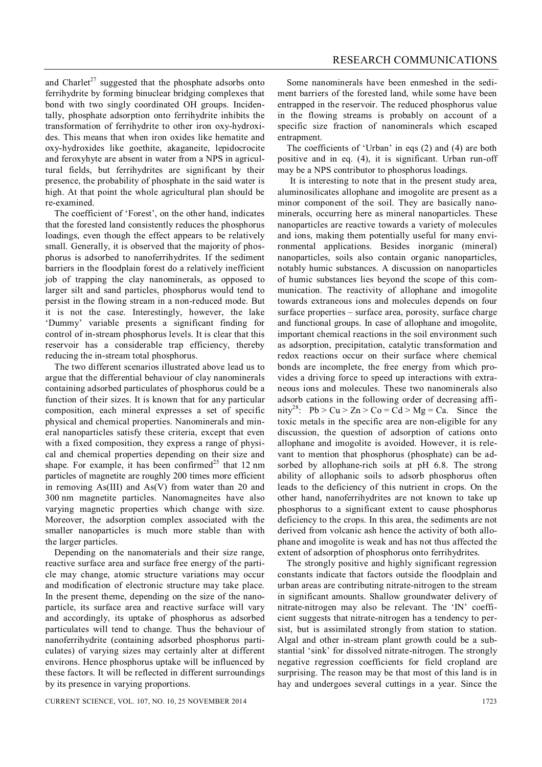and Charlet<sup>27</sup> suggested that the phosphate adsorbs onto ferrihydrite by forming binuclear bridging complexes that bond with two singly coordinated OH groups. Incidentally, phosphate adsorption onto ferrihydrite inhibits the transformation of ferrihydrite to other iron oxy-hydroxides. This means that when iron oxides like hematite and oxy-hydroxides like goethite, akaganeite, lepidocrocite and feroxyhyte are absent in water from a NPS in agricultural fields, but ferrihydrites are significant by their presence, the probability of phosphate in the said water is high. At that point the whole agricultural plan should be re-examined.

The coefficient of 'Forest', on the other hand, indicates that the forested land consistently reduces the phosphorus loadings, even though the effect appears to be relatively small. Generally, it is observed that the majority of phosphorus is adsorbed to nanoferrihydrites. If the sediment barriers in the floodplain forest do a relatively inefficient job of trapping the clay nanominerals, as opposed to larger silt and sand particles, phosphorus would tend to persist in the flowing stream in a non-reduced mode. But it is not the case. Interestingly, however, the lake 'Dummy' variable presents a significant finding for control of in-stream phosphorus levels. It is clear that this reservoir has a considerable trap efficiency, thereby reducing the in-stream total phosphorus.

The two different scenarios illustrated above lead us to argue that the differential behaviour of clay nanominerals containing adsorbed particulates of phosphorus could be a function of their sizes. It is known that for any particular composition, each mineral expresses a set of specific physical and chemical properties. Nanominerals and mineral nanoparticles satisfy these criteria, except that even with a fixed composition, they express a range of physical and chemical properties depending on their size and shape. For example, it has been confirmed<sup>25</sup> that 12 nm particles of magnetite are roughly 200 times more efficient in removing As(III) and As(V) from water than 20 and 300 nm magnetite particles. Nanomagneites have also varying magnetic properties which change with size. Moreover, the adsorption complex associated with the smaller nanoparticles is much more stable than with the larger particles.

Depending on the nanomaterials and their size range, reactive surface area and surface free energy of the particle may change, atomic structure variations may occur and modification of electronic structure may take place. In the present theme, depending on the size of the nanoparticle, its surface area and reactive surface will vary and accordingly, its uptake of phosphorus as adsorbed particulates will tend to change. Thus the behaviour of nanoferrihydrite (containing adsorbed phosphorus particulates) of varying sizes may certainly alter at different environs. Hence phosphorus uptake will be influenced by these factors. It will be reflected in different surroundings by its presence in varying proportions.

Some nanominerals have been enmeshed in the sediment barriers of the forested land, while some have been entrapped in the reservoir. The reduced phosphorus value in the flowing streams is probably on account of a specific size fraction of nanominerals which escaped entrapment.

The coefficients of 'Urban' in eqs  $(2)$  and  $(4)$  are both positive and in eq. (4), it is significant. Urban run-off may be a NPS contributor to phosphorus loadings.

 It is interesting to note that in the present study area, aluminosilicates allophane and imogolite are present as a minor component of the soil. They are basically nanominerals, occurring here as mineral nanoparticles. These nanoparticles are reactive towards a variety of molecules and ions, making them potentially useful for many environmental applications. Besides inorganic (mineral) nanoparticles, soils also contain organic nanoparticles, notably humic substances. A discussion on nanoparticles of humic substances lies beyond the scope of this communication. The reactivity of allophane and imogolite towards extraneous ions and molecules depends on four surface properties – surface area, porosity, surface charge and functional groups. In case of allophane and imogolite, important chemical reactions in the soil environment such as adsorption, precipitation, catalytic transformation and redox reactions occur on their surface where chemical bonds are incomplete, the free energy from which provides a driving force to speed up interactions with extraneous ions and molecules. These two nanominerals also adsorb cations in the following order of decreasing affinity<sup>28</sup>: Pb > Cu > Zn > Co = Cd > Mg = Ca. Since the toxic metals in the specific area are non-eligible for any discussion, the question of adsorption of cations onto allophane and imogolite is avoided. However, it is relevant to mention that phosphorus (phosphate) can be adsorbed by allophane-rich soils at pH 6.8. The strong ability of allophanic soils to adsorb phosphorus often leads to the deficiency of this nutrient in crops. On the other hand, nanoferrihydrites are not known to take up phosphorus to a significant extent to cause phosphorus deficiency to the crops. In this area, the sediments are not derived from volcanic ash hence the activity of both allophane and imogolite is weak and has not thus affected the extent of adsorption of phosphorus onto ferrihydrites.

The strongly positive and highly significant regression constants indicate that factors outside the floodplain and urban areas are contributing nitrate-nitrogen to the stream in significant amounts. Shallow groundwater delivery of nitrate-nitrogen may also be relevant. The 'IN' coefficient suggests that nitrate-nitrogen has a tendency to persist, but is assimilated strongly from station to station. Algal and other in-stream plant growth could be a substantial 'sink' for dissolved nitrate-nitrogen. The strongly negative regression coefficients for field cropland are surprising. The reason may be that most of this land is in hay and undergoes several cuttings in a year. Since the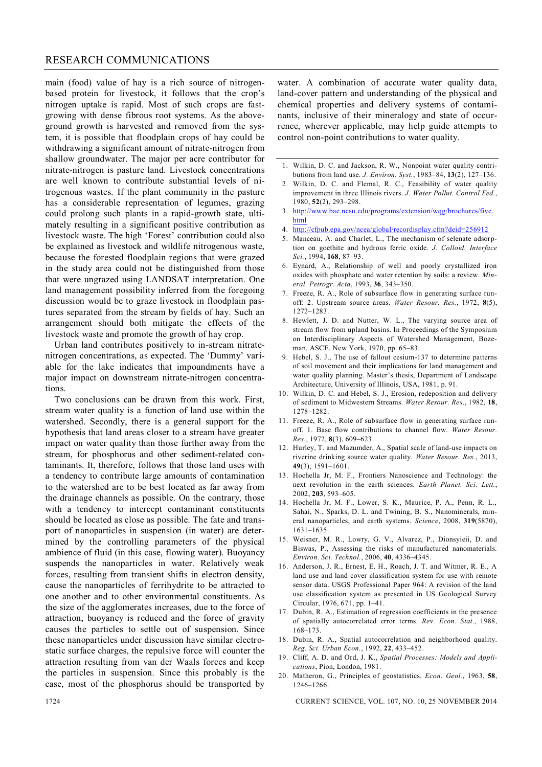#### RESEARCH COMMUNICATIONS

main (food) value of hay is a rich source of nitrogenbased protein for livestock, it follows that the crop's nitrogen uptake is rapid. Most of such crops are fastgrowing with dense fibrous root systems. As the aboveground growth is harvested and removed from the system, it is possible that floodplain crops of hay could be withdrawing a significant amount of nitrate-nitrogen from shallow groundwater. The major per acre contributor for nitrate-nitrogen is pasture land. Livestock concentrations are well known to contribute substantial levels of nitrogenous wastes. If the plant community in the pasture has a considerable representation of legumes, grazing could prolong such plants in a rapid-growth state, ultimately resulting in a significant positive contribution as livestock waste. The high 'Forest' contribution could also be explained as livestock and wildlife nitrogenous waste, because the forested floodplain regions that were grazed in the study area could not be distinguished from those that were ungrazed using LANDSAT interpretation. One land management possibility inferred from the foregoing discussion would be to graze livestock in floodplain pastures separated from the stream by fields of hay. Such an arrangement should both mitigate the effects of the livestock waste and promote the growth of hay crop.

Urban land contributes positively to in-stream nitratenitrogen concentrations, as expected. The 'Dummy' variable for the lake indicates that impoundments have a major impact on downstream nitrate-nitrogen concentrations.

Two conclusions can be drawn from this work. First, stream water quality is a function of land use within the watershed. Secondly, there is a general support for the hypothesis that land areas closer to a stream have greater impact on water quality than those further away from the stream, for phosphorus and other sediment-related contaminants. It, therefore, follows that those land uses with a tendency to contribute large amounts of contamination to the watershed are to be best located as far away from the drainage channels as possible. On the contrary, those with a tendency to intercept contaminant constituents should be located as close as possible. The fate and transport of nanoparticles in suspension (in water) are determined by the controlling parameters of the physical ambience of fluid (in this case, flowing water). Buoyancy suspends the nanoparticles in water. Relatively weak forces, resulting from transient shifts in electron density, cause the nanoparticles of ferrihydrite to be attracted to one another and to other environmental constituents. As the size of the agglomerates increases, due to the force of attraction, buoyancy is reduced and the force of gravity causes the particles to settle out of suspension. Since these nanoparticles under discussion have similar electrostatic surface charges, the repulsive force will counter the attraction resulting from van der Waals forces and keep the particles in suspension. Since this probably is the case, most of the phosphorus should be transported by

water. A combination of accurate water quality data, land-cover pattern and understanding of the physical and chemical properties and delivery systems of contaminants, inclusive of their mineralogy and state of occurrence, wherever applicable, may help guide attempts to control non-point contributions to water quality.

- 1. Wilkin, D. C. and Jackson, R. W., Nonpoint water quality contributions from land use. *J. Environ. Syst.*, 1983–84, **13**(2), 127–136.
- 2. Wilkin, D. C. and Flemal, R. C., Feasibility of water quality improvement in three Illinois rivers. *J. Water Pollut. Control Fed*., 1980, **52**(2), 293–298.
- 3. http://www.bae.ncsu.edu/programs/extension/wqg/brochures/five. html
- 4. http://cfpub.epa.gov/ncea/global/recordisplay.cfm?deid=256912
- 5. Manceau, A. and Charlet, L., The mechanism of selenate adsorption on goethite and hydrous ferric oxide. *J. Colloid. Interface Sci.*, 1994, **168**, 87–93.
- 6. Eynard, A., Relationship of well and poorly crystallized iron oxides with phosphate and water retention by soils: a review. *Mineral. Petrogr. Acta*, 1993, **36**, 343–350.
- 7. Freeze, R. A., Role of subsurface flow in generating surface runoff: 2. Upstream source areas. *Water Resour. Res.*, 1972, **8**(5), 1272–1283.
- 8. Hewlett, J. D. and Nutter, W. L., The varying source area of stream flow from upland basins. In Proceedings of the Symposium on Interdisciplinary Aspects of Watershed Management, Bozeman, ASCE. New York, 1970, pp. 65–83.
- 9. Hebel, S. J., The use of fallout cesium-137 to determine patterns of soil movement and their implications for land management and water quality planning. Master's thesis, Department of Landscape Architecture, University of Illinois, USA, 1981, p. 91.
- 10. Wilkin, D. C. and Hebel, S. J., Erosion, redeposition and delivery of sediment to Midwestern Streams. *Water Resour. Res*., 1982, **18**, 1278–1282.
- 11. Freeze, R. A., Role of subsurface flow in generating surface runoff. 1. Base flow contributions to channel flow. *Water Resour. Res.*, 1972, **8**(3), 609–623.
- 12. Hurley, T. and Mazumder, A., Spatial scale of land-use impacts on riverine drinking source water quality. *Water Resour. Res.*, 2013, **49**(3), 1591–1601.
- 13. Hochella Jr, M. F., Frontiers Nanoscience and Technology: the next revolution in the earth sciences. *Earth Planet. Sci. Lett.*, 2002, **203**, 593–605.
- 14. Hochella Jr, M. F., Lower, S. K., Maurice, P. A., Penn, R. L., Sahai, N., Sparks, D. L. and Twining, B. S., Nanominerals, mineral nanoparticles, and earth systems. *Science*, 2008, **319**(5870), 1631–1635.
- 15. Weisner, M. R., Lowry, G. V., Alvarez, P., Dionsyieii, D. and Biswas, P., Assessing the risks of manufactured nanomaterials. *Environ. Sci. Technol.*, 2006, **40**, 4336–4345.
- 16. Anderson, J. R., Ernest, E. H., Roach, J. T. and Witmer, R. E., A land use and land cover classification system for use with remote sensor data. USGS Professional Paper 964: A revision of the land use classification system as presented in US Geological Survey Circular, 1976, 671, pp. 1–41.
- 17. Dubin, R. A., Estimation of regression coefficients in the presence of spatially autocorrelated error terms. *Rev. Econ. Stat*., 1988, 168–173.
- 18. Dubin, R. A., Spatial autocorrelation and neighborhood quality. *Reg. Sci. Urban Econ.*, 1992, **22**, 433–452.
- 19. Cliff, A. D. and Ord, J. K., *Spatial Processes: Models and Applications*, Pion, London, 1981.
- 20. Matheron, G., Principles of geostatistics. *Econ. Geol.*, 1963, **58**, 1246–1266.

1724 CURRENT SCIENCE, VOL. 107, NO. 10, 25 NOVEMBER 2014